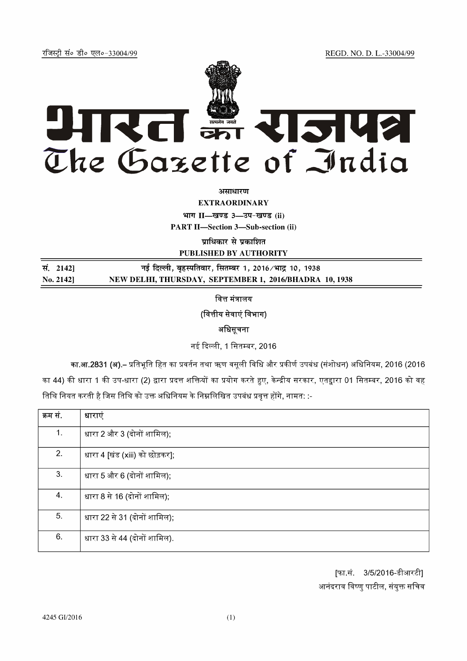REGD. NO. D. L.-33004/99

रजिस्ट्री सं० डी० एल०-33004/99



असाधारण

**EXTRAORDINARY** भाग II-खण्ड 3-उप-खण्ड (ii)

**PART II-Section 3-Sub-section (ii)** 

प्राधिकार से प्रकाशित

PUBLISHED BY AUTHORITY

| सं. 2142] | नई दिल्ली, बृहस्पतिवार, सितम्बर 1, 2016⁄भाद्र 10, 1938 |
|-----------|--------------------------------------------------------|
| No. 21421 | NEW DELHI, THURSDAY, SEPTEMBER 1, 2016/BHADRA 10, 1938 |

वित्त मंत्रालय

(वित्तीय सेवाएं विभाग)

अधिसूचना

नई दिल्ली, 1 सितम्बर, 2016

का.आ.2831 (अ).– प्रतिभूति हित का प्रवर्तन तथा ऋण वसूली विधि और प्रकीर्ण उपबंध (संशोधन) अधिनियम, 2016 (2016

का 44) की धारा 1 की उप-धारा (2) द्वारा प्रदत्त शक्तियों का प्रयोग करते हुए, केन्द्रीय सरकार, एतद्वारा 01 सितम्बर, 2016 को वह तिथि नियत करती है जिस तिथि को उक्त अधिनियम के निम्नलिखित उपबंध प्रवृत्त होंगे, नामत: :-

| क्रम सं. | धाराएं                         |
|----------|--------------------------------|
| 1.       | धारा 2 और 3 (दोनों शामिल);     |
| 2.       | धारा 4 [खंड (xiii) को छोड़कर]; |
| 3.       | धारा 5 और 6 (दोनों शामिल);     |
| 4.       | धारा 8 से 16 (दोनों शामिल);    |
| 5.       | धारा 22 से 31 (दोनों शामिल);   |
| 6.       | धारा 33 से 44 (दोनों शामिल).   |

[फा.सं. 3/5/2016-डीआरटी] आनंदराव विष्णु पाटील, संयुक्त सचिव